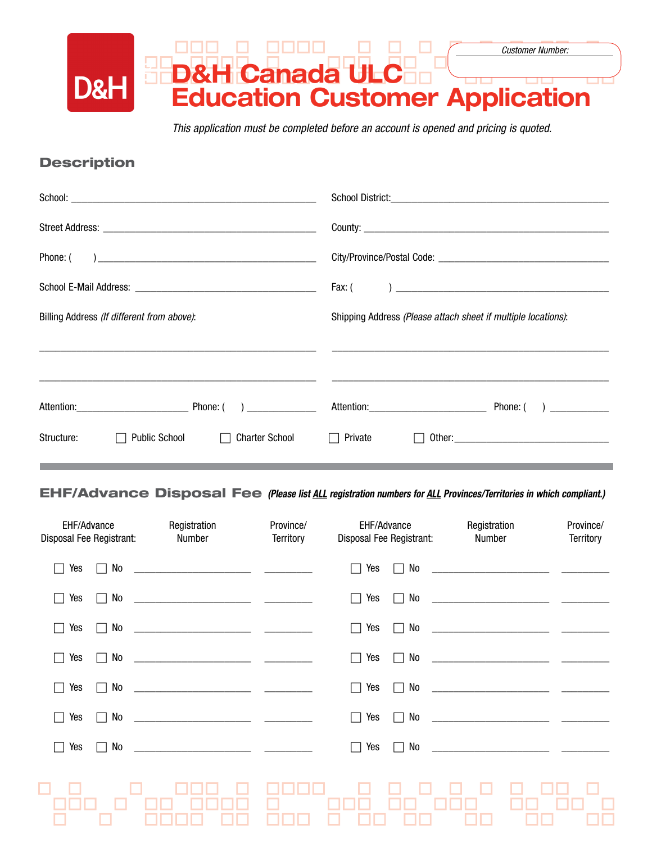

*This application must be completed before an account is opened and pricing is quoted.*

## **Description**

|                                                             | Fax: (                                                        |
|-------------------------------------------------------------|---------------------------------------------------------------|
| Billing Address (If different from above):                  | Shipping Address (Please attach sheet if multiple locations): |
|                                                             |                                                               |
|                                                             |                                                               |
|                                                             |                                                               |
| <b>Public School</b><br>Structure:<br><b>Charter School</b> | Private                                                       |
|                                                             |                                                               |

EHF/Advance Disposal Fee *(Please list all registration numbers for all Provinces/Territories in which compliant.)*

| <b>EHF/Advance</b><br>Disposal Fee Registrant: | Registration<br>Number | Province/<br><b>Territory</b> | EHF/Advance<br>Disposal Fee Registrant: | Registration<br>Number                                                                                                                                                                                                               | Province/<br><b>Territory</b> |
|------------------------------------------------|------------------------|-------------------------------|-----------------------------------------|--------------------------------------------------------------------------------------------------------------------------------------------------------------------------------------------------------------------------------------|-------------------------------|
| Yes<br>No<br>$\blacksquare$                    |                        |                               | Yes<br>No                               |                                                                                                                                                                                                                                      |                               |
| Yes<br>No                                      |                        |                               | Yes<br>No                               | <u> 2000 - Jan James James James James James James James James James James James James James James James James James James James James James James James James James James James James James James James James James James James</u> |                               |
| No<br>Yes                                      |                        |                               | Yes<br>No                               |                                                                                                                                                                                                                                      |                               |
| No<br>Yes                                      |                        |                               | No<br>Yes                               |                                                                                                                                                                                                                                      |                               |
| No<br>Yes<br>$\Box$                            |                        |                               | Yes<br>No<br>l.                         | <u> 1999 - Jan James James James James James James James James James James James James James James James James Ja</u>                                                                                                                |                               |
| Yes<br>No<br>$\Box$                            |                        |                               | Yes<br>No<br>$\Box$                     |                                                                                                                                                                                                                                      |                               |
| No<br>Yes<br>$\mathbf{1}$                      |                        |                               | Yes<br>No<br>$\Box$                     |                                                                                                                                                                                                                                      |                               |
|                                                |                        |                               |                                         |                                                                                                                                                                                                                                      |                               |